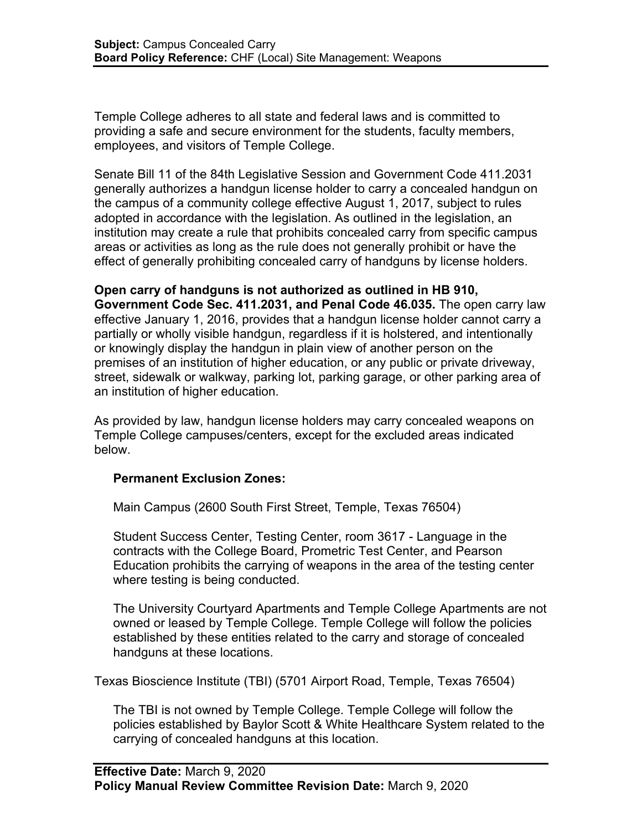Temple College adheres to all state and federal laws and is committed to providing a safe and secure environment for the students, faculty members, employees, and visitors of Temple College.

Senate Bill 11 of the 84th Legislative Session and Government Code 411.2031 generally authorizes a handgun license holder to carry a concealed handgun on the campus of a community college effective August 1, 2017, subject to rules adopted in accordance with the legislation. As outlined in the legislation, an institution may create a rule that prohibits concealed carry from specific campus areas or activities as long as the rule does not generally prohibit or have the effect of generally prohibiting concealed carry of handguns by license holders.

**Open carry of handguns is not authorized as outlined in HB 910, Government Code Sec. 411.2031, and Penal Code 46.035.** The open carry law effective January 1, 2016, provides that a handgun license holder cannot carry a partially or wholly visible handgun, regardless if it is holstered, and intentionally or knowingly display the handgun in plain view of another person on the premises of an institution of higher education, or any public or private driveway, street, sidewalk or walkway, parking lot, parking garage, or other parking area of an institution of higher education.

As provided by law, handgun license holders may carry concealed weapons on Temple College campuses/centers, except for the excluded areas indicated below.

## **Permanent Exclusion Zones:**

Main Campus (2600 South First Street, Temple, Texas 76504)

Student Success Center, Testing Center, room 3617 - Language in the contracts with the College Board, Prometric Test Center, and Pearson Education prohibits the carrying of weapons in the area of the testing center where testing is being conducted.

The University Courtyard Apartments and Temple College Apartments are not owned or leased by Temple College. Temple College will follow the policies established by these entities related to the carry and storage of concealed handguns at these locations.

Texas Bioscience Institute (TBI) (5701 Airport Road, Temple, Texas 76504)

The TBI is not owned by Temple College. Temple College will follow the policies established by Baylor Scott & White Healthcare System related to the carrying of concealed handguns at this location.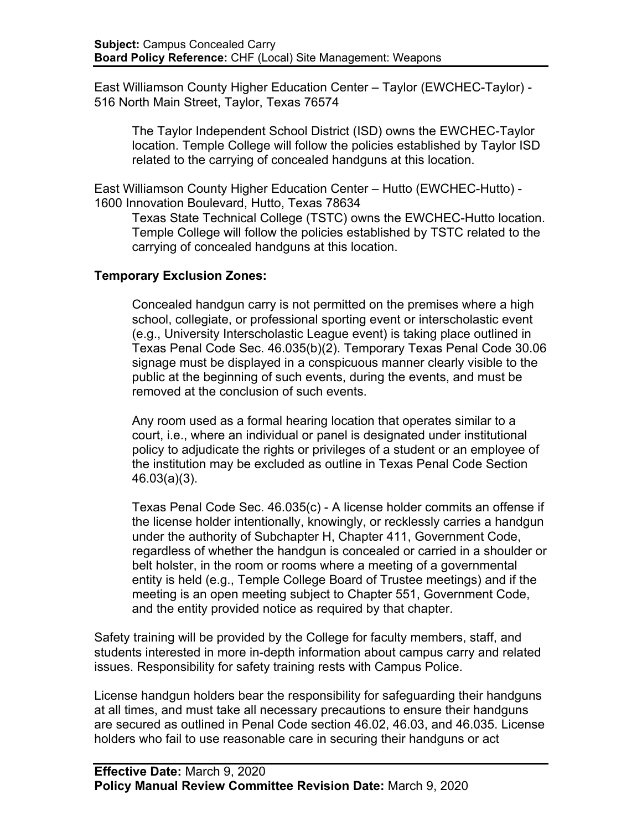East Williamson County Higher Education Center – Taylor (EWCHEC-Taylor) - 516 North Main Street, Taylor, Texas 76574

The Taylor Independent School District (ISD) owns the EWCHEC-Taylor location. Temple College will follow the policies established by Taylor ISD related to the carrying of concealed handguns at this location.

East Williamson County Higher Education Center – Hutto (EWCHEC-Hutto) - 1600 Innovation Boulevard, Hutto, Texas 78634

Texas State Technical College (TSTC) owns the EWCHEC-Hutto location. Temple College will follow the policies established by TSTC related to the carrying of concealed handguns at this location.

## **Temporary Exclusion Zones:**

Concealed handgun carry is not permitted on the premises where a high school, collegiate, or professional sporting event or interscholastic event (e.g., University Interscholastic League event) is taking place outlined in Texas Penal Code Sec. 46.035(b)(2). Temporary Texas Penal Code 30.06 signage must be displayed in a conspicuous manner clearly visible to the public at the beginning of such events, during the events, and must be removed at the conclusion of such events.

Any room used as a formal hearing location that operates similar to a court, i.e., where an individual or panel is designated under institutional policy to adjudicate the rights or privileges of a student or an employee of the institution may be excluded as outline in Texas Penal Code Section 46.03(a)(3).

Texas Penal Code Sec. 46.035(c) - A license holder commits an offense if the license holder intentionally, knowingly, or recklessly carries a handgun under the authority of Subchapter H, Chapter 411, Government Code, regardless of whether the handgun is concealed or carried in a shoulder or belt holster, in the room or rooms where a meeting of a governmental entity is held (e.g., Temple College Board of Trustee meetings) and if the meeting is an open meeting subject to Chapter 551, Government Code, and the entity provided notice as required by that chapter.

Safety training will be provided by the College for faculty members, staff, and students interested in more in-depth information about campus carry and related issues. Responsibility for safety training rests with Campus Police.

License handgun holders bear the responsibility for safeguarding their handguns at all times, and must take all necessary precautions to ensure their handguns are secured as outlined in Penal Code section 46.02, 46.03, and 46.035. License holders who fail to use reasonable care in securing their handguns or act